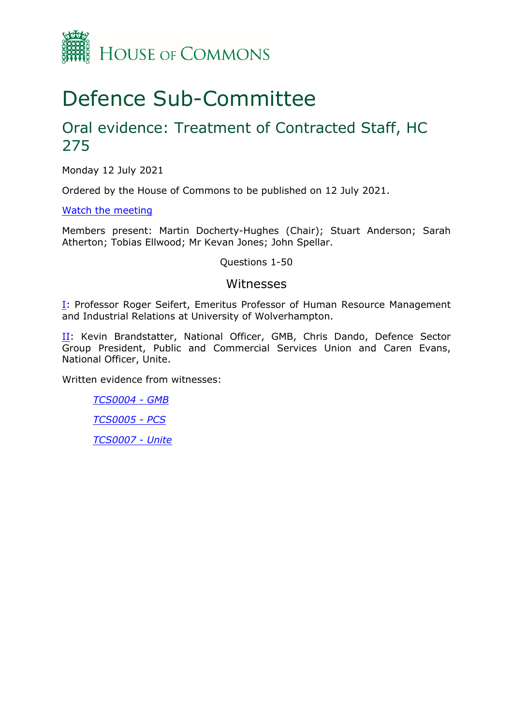

# Defence Sub-Committee

## Oral evidence: Treatment of Contracted Staff, HC 275

Monday 12 July 2021

Ordered by the House of Commons to be published on 12 July 2021.

[Watch](https://parliamentlive.tv/Event/Index/f0a048c0-560d-4970-809a-29a42362fbb8) [the](https://parliamentlive.tv/Event/Index/f0a048c0-560d-4970-809a-29a42362fbb8) [meeting](https://parliamentlive.tv/Event/Index/f0a048c0-560d-4970-809a-29a42362fbb8)

Members present: Martin Docherty-Hughes (Chair); Stuart Anderson; Sarah Atherton; Tobias Ellwood; Mr Kevan Jones; John Spellar.

Questions 1-50

#### Witnesses

**[I:](#page-1-0) Professor Roger Seifert, Emeritus Professor of Human Resource Management** and Industrial Relations at University of Wolverhampton.

II: Kevin Brandstatter, National Officer, GMB, Chris Dando, Defence Sector Group President, Public and Commercial Services Union and Caren Evans, National Officer, Unite.

Written evidence from witnesses:

*[TCS0004](https://committees.parliament.uk/writtenevidence/37363/pdf/) [-](https://committees.parliament.uk/writtenevidence/37363/pdf/) [GMB](https://committees.parliament.uk/writtenevidence/37363/pdf/) [TCS0005](https://committees.parliament.uk/writtenevidence/37410/pdf/) [-](https://committees.parliament.uk/writtenevidence/37410/pdf/) [PCS](https://committees.parliament.uk/writtenevidence/37410/pdf/) [TCS0007](https://committees.parliament.uk/writtenevidence/37413/pdf/) [-](https://committees.parliament.uk/writtenevidence/37413/pdf/) [Unite](https://committees.parliament.uk/writtenevidence/37413/pdf/)*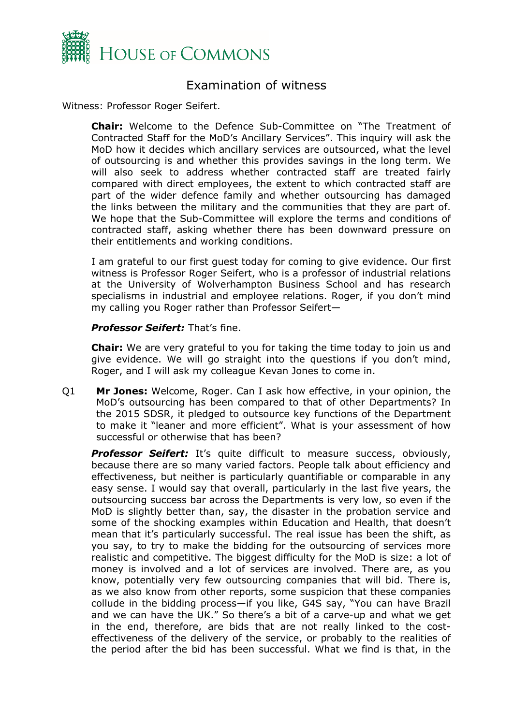

### <span id="page-1-0"></span>Examination of witness

Witness: Professor Roger Seifert.

**Chair:** Welcome to the Defence Sub-Committee on "The Treatment of Contracted Staff for the MoD's Ancillary Services". This inquiry will ask the MoD how it decides which ancillary services are outsourced, what the level of outsourcing is and whether this provides savings in the long term. We will also seek to address whether contracted staff are treated fairly compared with direct employees, the extent to which contracted staff are part of the wider defence family and whether outsourcing has damaged the links between the military and the communities that they are part of. We hope that the Sub-Committee will explore the terms and conditions of contracted staff, asking whether there has been downward pressure on their entitlements and working conditions.

I am grateful to our first guest today for coming to give evidence. Our first witness is Professor Roger Seifert, who is a professor of industrial relations at the University of Wolverhampton Business School and has research specialisms in industrial and employee relations. Roger, if you don't mind my calling you Roger rather than Professor Seifert—

#### *Professor Seifert:* That's fine.

**Chair:** We are very grateful to you for taking the time today to join us and give evidence. We will go straight into the questions if you don't mind, Roger, and I will ask my colleague Kevan Jones to come in.

Q1 **Mr Jones:** Welcome, Roger. Can I ask how effective, in your opinion, the MoD's outsourcing has been compared to that of other Departments? In the 2015 SDSR, it pledged to outsource key functions of the Department to make it "leaner and more efficient". What is your assessment of how successful or otherwise that has been?

*Professor Seifert:* It's quite difficult to measure success, obviously, because there are so many varied factors. People talk about efficiency and effectiveness, but neither is particularly quantifiable or comparable in any easy sense. I would say that overall, particularly in the last five years, the outsourcing success bar across the Departments is very low, so even if the MoD is slightly better than, say, the disaster in the probation service and some of the shocking examples within Education and Health, that doesn't mean that it's particularly successful. The real issue has been the shift, as you say, to try to make the bidding for the outsourcing of services more realistic and competitive. The biggest difficulty for the MoD is size: a lot of money is involved and a lot of services are involved. There are, as you know, potentially very few outsourcing companies that will bid. There is, as we also know from other reports, some suspicion that these companies collude in the bidding process—if you like, G4S say, "You can have Brazil and we can have the UK." So there's a bit of a carve-up and what we get in the end, therefore, are bids that are not really linked to the costeffectiveness of the delivery of the service, or probably to the realities of the period after the bid has been successful. What we find is that, in the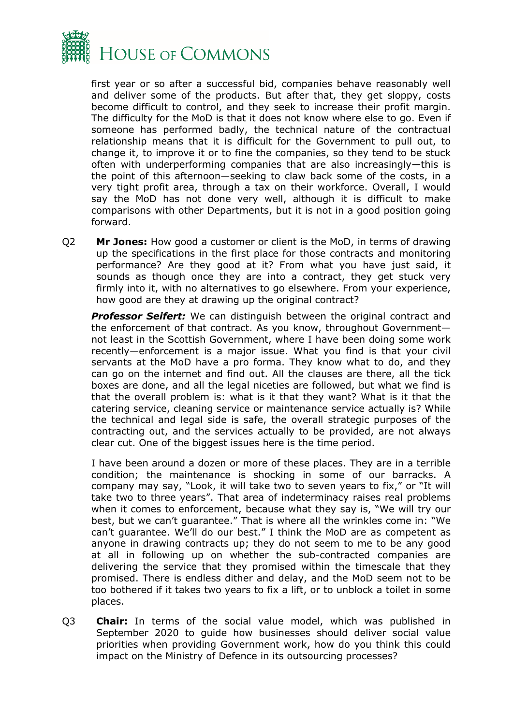

first year or so after a successful bid, companies behave reasonably well and deliver some of the products. But after that, they get sloppy, costs become difficult to control, and they seek to increase their profit margin. The difficulty for the MoD is that it does not know where else to go. Even if someone has performed badly, the technical nature of the contractual relationship means that it is difficult for the Government to pull out, to change it, to improve it or to fine the companies, so they tend to be stuck often with underperforming companies that are also increasingly—this is the point of this afternoon—seeking to claw back some of the costs, in a very tight profit area, through a tax on their workforce. Overall, I would say the MoD has not done very well, although it is difficult to make comparisons with other Departments, but it is not in a good position going forward.

Q2 **Mr Jones:** How good a customer or client is the MoD, in terms of drawing up the specifications in the first place for those contracts and monitoring performance? Are they good at it? From what you have just said, it sounds as though once they are into a contract, they get stuck very firmly into it, with no alternatives to go elsewhere. From your experience, how good are they at drawing up the original contract?

*Professor Seifert:* We can distinguish between the original contract and the enforcement of that contract. As you know, throughout Government not least in the Scottish Government, where I have been doing some work recently—enforcement is a major issue. What you find is that your civil servants at the MoD have a pro forma. They know what to do, and they can go on the internet and find out. All the clauses are there, all the tick boxes are done, and all the legal niceties are followed, but what we find is that the overall problem is: what is it that they want? What is it that the catering service, cleaning service or maintenance service actually is? While the technical and legal side is safe, the overall strategic purposes of the contracting out, and the services actually to be provided, are not always clear cut. One of the biggest issues here is the time period.

I have been around a dozen or more of these places. They are in a terrible condition; the maintenance is shocking in some of our barracks. A company may say, "Look, it will take two to seven years to fix," or "It will take two to three years". That area of indeterminacy raises real problems when it comes to enforcement, because what they say is, "We will try our best, but we can't guarantee." That is where all the wrinkles come in: "We can't guarantee. We'll do our best." I think the MoD are as competent as anyone in drawing contracts up; they do not seem to me to be any good at all in following up on whether the sub-contracted companies are delivering the service that they promised within the timescale that they promised. There is endless dither and delay, and the MoD seem not to be too bothered if it takes two years to fix a lift, or to unblock a toilet in some places.

Q3 **Chair:** In terms of the social value model, which was published in September 2020 to guide how businesses should deliver social value priorities when providing Government work, how do you think this could impact on the Ministry of Defence in its outsourcing processes?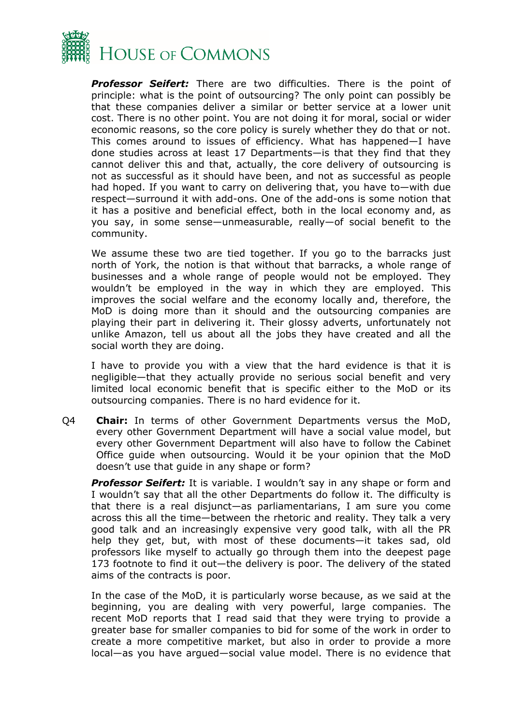

*Professor Seifert:* There are two difficulties. There is the point of principle: what is the point of outsourcing? The only point can possibly be that these companies deliver a similar or better service at a lower unit cost. There is no other point. You are not doing it for moral, social or wider economic reasons, so the core policy is surely whether they do that or not. This comes around to issues of efficiency. What has happened—I have done studies across at least 17 Departments—is that they find that they cannot deliver this and that, actually, the core delivery of outsourcing is not as successful as it should have been, and not as successful as people had hoped. If you want to carry on delivering that, you have to—with due respect—surround it with add-ons. One of the add-ons is some notion that it has a positive and beneficial effect, both in the local economy and, as you say, in some sense—unmeasurable, really—of social benefit to the community.

We assume these two are tied together. If you go to the barracks just north of York, the notion is that without that barracks, a whole range of businesses and a whole range of people would not be employed. They wouldn't be employed in the way in which they are employed. This improves the social welfare and the economy locally and, therefore, the MoD is doing more than it should and the outsourcing companies are playing their part in delivering it. Their glossy adverts, unfortunately not unlike Amazon, tell us about all the jobs they have created and all the social worth they are doing.

I have to provide you with a view that the hard evidence is that it is negligible—that they actually provide no serious social benefit and very limited local economic benefit that is specific either to the MoD or its outsourcing companies. There is no hard evidence for it.

Q4 **Chair:** In terms of other Government Departments versus the MoD, every other Government Department will have a social value model, but every other Government Department will also have to follow the Cabinet Office guide when outsourcing. Would it be your opinion that the MoD doesn't use that guide in any shape or form?

*Professor Seifert:* It is variable. I wouldn't say in any shape or form and I wouldn't say that all the other Departments do follow it. The difficulty is that there is a real disjunct—as parliamentarians, I am sure you come across this all the time—between the rhetoric and reality. They talk a very good talk and an increasingly expensive very good talk, with all the PR help they get, but, with most of these documents—it takes sad, old professors like myself to actually go through them into the deepest page 173 footnote to find it out—the delivery is poor. The delivery of the stated aims of the contracts is poor.

In the case of the MoD, it is particularly worse because, as we said at the beginning, you are dealing with very powerful, large companies. The recent MoD reports that I read said that they were trying to provide a greater base for smaller companies to bid for some of the work in order to create a more competitive market, but also in order to provide a more local—as you have argued—social value model. There is no evidence that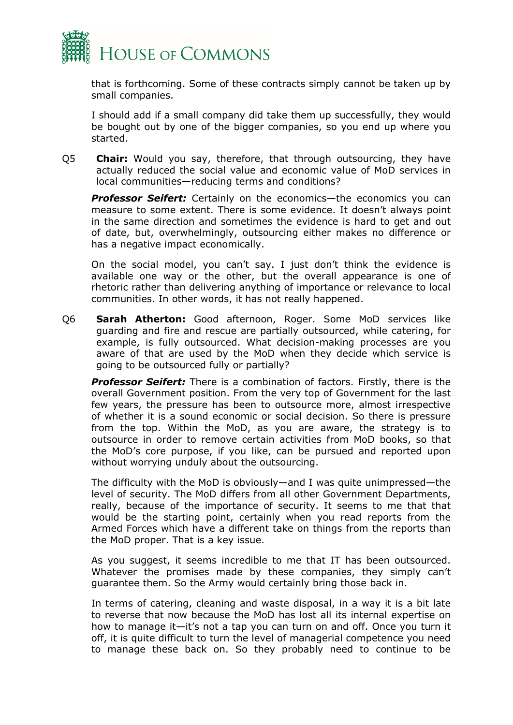

that is forthcoming. Some of these contracts simply cannot be taken up by small companies.

I should add if a small company did take them up successfully, they would be bought out by one of the bigger companies, so you end up where you started.

Q5 **Chair:** Would you say, therefore, that through outsourcing, they have actually reduced the social value and economic value of MoD services in local communities—reducing terms and conditions?

**Professor Seifert:** Certainly on the economics—the economics you can measure to some extent. There is some evidence. It doesn't always point in the same direction and sometimes the evidence is hard to get and out of date, but, overwhelmingly, outsourcing either makes no difference or has a negative impact economically.

On the social model, you can't say. I just don't think the evidence is available one way or the other, but the overall appearance is one of rhetoric rather than delivering anything of importance or relevance to local communities. In other words, it has not really happened.

Q6 **Sarah Atherton:** Good afternoon, Roger. Some MoD services like guarding and fire and rescue are partially outsourced, while catering, for example, is fully outsourced. What decision-making processes are you aware of that are used by the MoD when they decide which service is going to be outsourced fully or partially?

*Professor Seifert:* There is a combination of factors. Firstly, there is the overall Government position. From the very top of Government for the last few years, the pressure has been to outsource more, almost irrespective of whether it is a sound economic or social decision. So there is pressure from the top. Within the MoD, as you are aware, the strategy is to outsource in order to remove certain activities from MoD books, so that the MoD's core purpose, if you like, can be pursued and reported upon without worrying unduly about the outsourcing.

The difficulty with the MoD is obviously—and I was quite unimpressed—the level of security. The MoD differs from all other Government Departments, really, because of the importance of security. It seems to me that that would be the starting point, certainly when you read reports from the Armed Forces which have a different take on things from the reports than the MoD proper. That is a key issue.

As you suggest, it seems incredible to me that IT has been outsourced. Whatever the promises made by these companies, they simply can't guarantee them. So the Army would certainly bring those back in.

In terms of catering, cleaning and waste disposal, in a way it is a bit late to reverse that now because the MoD has lost all its internal expertise on how to manage it—it's not a tap you can turn on and off. Once you turn it off, it is quite difficult to turn the level of managerial competence you need to manage these back on. So they probably need to continue to be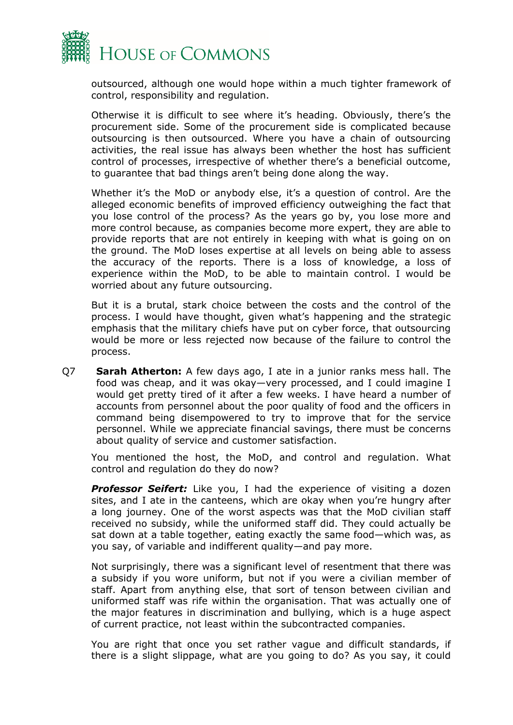

outsourced, although one would hope within a much tighter framework of control, responsibility and regulation.

Otherwise it is difficult to see where it's heading. Obviously, there's the procurement side. Some of the procurement side is complicated because outsourcing is then outsourced. Where you have a chain of outsourcing activities, the real issue has always been whether the host has sufficient control of processes, irrespective of whether there's a beneficial outcome, to guarantee that bad things aren't being done along the way.

Whether it's the MoD or anybody else, it's a question of control. Are the alleged economic benefits of improved efficiency outweighing the fact that you lose control of the process? As the years go by, you lose more and more control because, as companies become more expert, they are able to provide reports that are not entirely in keeping with what is going on on the ground. The MoD loses expertise at all levels on being able to assess the accuracy of the reports. There is a loss of knowledge, a loss of experience within the MoD, to be able to maintain control. I would be worried about any future outsourcing.

But it is a brutal, stark choice between the costs and the control of the process. I would have thought, given what's happening and the strategic emphasis that the military chiefs have put on cyber force, that outsourcing would be more or less rejected now because of the failure to control the process.

Q7 **Sarah Atherton:** A few days ago, I ate in a junior ranks mess hall. The food was cheap, and it was okay—very processed, and I could imagine I would get pretty tired of it after a few weeks. I have heard a number of accounts from personnel about the poor quality of food and the officers in command being disempowered to try to improve that for the service personnel. While we appreciate financial savings, there must be concerns about quality of service and customer satisfaction.

You mentioned the host, the MoD, and control and regulation. What control and regulation do they do now?

**Professor Seifert:** Like you, I had the experience of visiting a dozen sites, and I ate in the canteens, which are okay when you're hungry after a long journey. One of the worst aspects was that the MoD civilian staff received no subsidy, while the uniformed staff did. They could actually be sat down at a table together, eating exactly the same food—which was, as you say, of variable and indifferent quality—and pay more.

Not surprisingly, there was a significant level of resentment that there was a subsidy if you wore uniform, but not if you were a civilian member of staff. Apart from anything else, that sort of tenson between civilian and uniformed staff was rife within the organisation. That was actually one of the major features in discrimination and bullying, which is a huge aspect of current practice, not least within the subcontracted companies.

You are right that once you set rather vague and difficult standards, if there is a slight slippage, what are you going to do? As you say, it could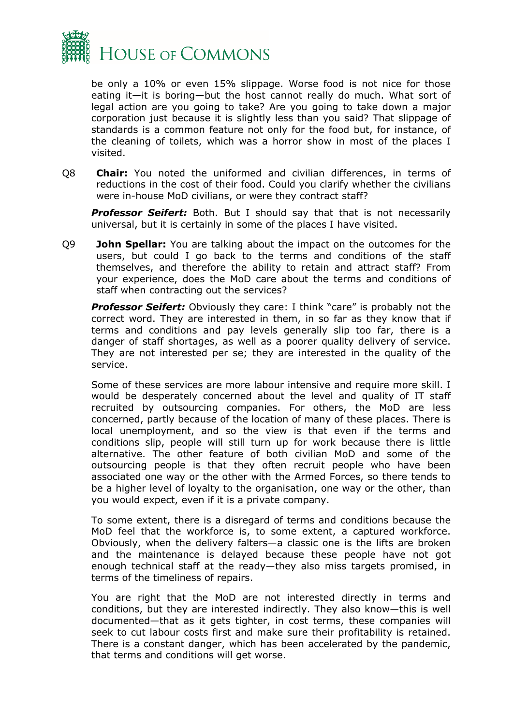

be only a 10% or even 15% slippage. Worse food is not nice for those eating it—it is boring—but the host cannot really do much. What sort of legal action are you going to take? Are you going to take down a major corporation just because it is slightly less than you said? That slippage of standards is a common feature not only for the food but, for instance, of the cleaning of toilets, which was a horror show in most of the places I visited.

Q8 **Chair:** You noted the uniformed and civilian differences, in terms of reductions in the cost of their food. Could you clarify whether the civilians were in-house MoD civilians, or were they contract staff?

**Professor Seifert:** Both. But I should say that that is not necessarily universal, but it is certainly in some of the places I have visited.

Q9 **John Spellar:** You are talking about the impact on the outcomes for the users, but could I go back to the terms and conditions of the staff themselves, and therefore the ability to retain and attract staff? From your experience, does the MoD care about the terms and conditions of staff when contracting out the services?

*Professor Seifert:* Obviously they care: I think "care" is probably not the correct word. They are interested in them, in so far as they know that if terms and conditions and pay levels generally slip too far, there is a danger of staff shortages, as well as a poorer quality delivery of service. They are not interested per se; they are interested in the quality of the service.

Some of these services are more labour intensive and require more skill. I would be desperately concerned about the level and quality of IT staff recruited by outsourcing companies. For others, the MoD are less concerned, partly because of the location of many of these places. There is local unemployment, and so the view is that even if the terms and conditions slip, people will still turn up for work because there is little alternative. The other feature of both civilian MoD and some of the outsourcing people is that they often recruit people who have been associated one way or the other with the Armed Forces, so there tends to be a higher level of loyalty to the organisation, one way or the other, than you would expect, even if it is a private company.

To some extent, there is a disregard of terms and conditions because the MoD feel that the workforce is, to some extent, a captured workforce. Obviously, when the delivery falters—a classic one is the lifts are broken and the maintenance is delayed because these people have not got enough technical staff at the ready—they also miss targets promised, in terms of the timeliness of repairs.

You are right that the MoD are not interested directly in terms and conditions, but they are interested indirectly. They also know—this is well documented—that as it gets tighter, in cost terms, these companies will seek to cut labour costs first and make sure their profitability is retained. There is a constant danger, which has been accelerated by the pandemic, that terms and conditions will get worse.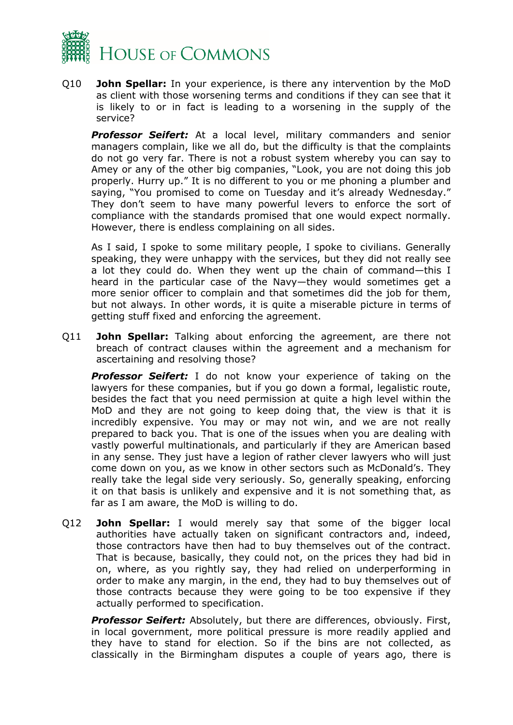

Q10 **John Spellar:** In your experience, is there any intervention by the MoD as client with those worsening terms and conditions if they can see that it is likely to or in fact is leading to a worsening in the supply of the service?

*Professor Seifert:* At a local level, military commanders and senior managers complain, like we all do, but the difficulty is that the complaints do not go very far. There is not a robust system whereby you can say to Amey or any of the other big companies, "Look, you are not doing this job properly. Hurry up." It is no different to you or me phoning a plumber and saying, "You promised to come on Tuesday and it's already Wednesday." They don't seem to have many powerful levers to enforce the sort of compliance with the standards promised that one would expect normally. However, there is endless complaining on all sides.

As I said, I spoke to some military people, I spoke to civilians. Generally speaking, they were unhappy with the services, but they did not really see a lot they could do. When they went up the chain of command—this I heard in the particular case of the Navy—they would sometimes get a more senior officer to complain and that sometimes did the job for them, but not always. In other words, it is quite a miserable picture in terms of getting stuff fixed and enforcing the agreement.

Q11 **John Spellar:** Talking about enforcing the agreement, are there not breach of contract clauses within the agreement and a mechanism for ascertaining and resolving those?

*Professor Seifert:* I do not know your experience of taking on the lawyers for these companies, but if you go down a formal, legalistic route, besides the fact that you need permission at quite a high level within the MoD and they are not going to keep doing that, the view is that it is incredibly expensive. You may or may not win, and we are not really prepared to back you. That is one of the issues when you are dealing with vastly powerful multinationals, and particularly if they are American based in any sense. They just have a legion of rather clever lawyers who will just come down on you, as we know in other sectors such as McDonald's. They really take the legal side very seriously. So, generally speaking, enforcing it on that basis is unlikely and expensive and it is not something that, as far as I am aware, the MoD is willing to do.

Q12 **John Spellar:** I would merely say that some of the bigger local authorities have actually taken on significant contractors and, indeed, those contractors have then had to buy themselves out of the contract. That is because, basically, they could not, on the prices they had bid in on, where, as you rightly say, they had relied on underperforming in order to make any margin, in the end, they had to buy themselves out of those contracts because they were going to be too expensive if they actually performed to specification.

*Professor Seifert:* Absolutely, but there are differences, obviously. First, in local government, more political pressure is more readily applied and they have to stand for election. So if the bins are not collected, as classically in the Birmingham disputes a couple of years ago, there is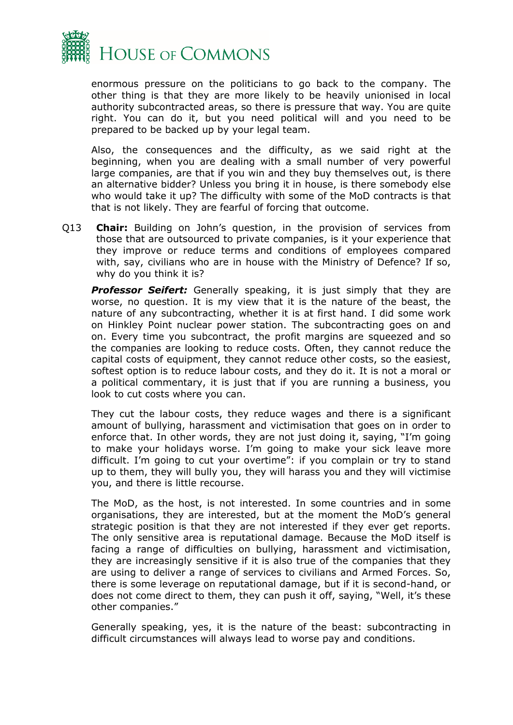

enormous pressure on the politicians to go back to the company. The other thing is that they are more likely to be heavily unionised in local authority subcontracted areas, so there is pressure that way. You are quite right. You can do it, but you need political will and you need to be prepared to be backed up by your legal team.

Also, the consequences and the difficulty, as we said right at the beginning, when you are dealing with a small number of very powerful large companies, are that if you win and they buy themselves out, is there an alternative bidder? Unless you bring it in house, is there somebody else who would take it up? The difficulty with some of the MoD contracts is that that is not likely. They are fearful of forcing that outcome.

Q13 **Chair:** Building on John's question, in the provision of services from those that are outsourced to private companies, is it your experience that they improve or reduce terms and conditions of employees compared with, say, civilians who are in house with the Ministry of Defence? If so, why do you think it is?

**Professor Seifert:** Generally speaking, it is just simply that they are worse, no question. It is my view that it is the nature of the beast, the nature of any subcontracting, whether it is at first hand. I did some work on Hinkley Point nuclear power station. The subcontracting goes on and on. Every time you subcontract, the profit margins are squeezed and so the companies are looking to reduce costs. Often, they cannot reduce the capital costs of equipment, they cannot reduce other costs, so the easiest, softest option is to reduce labour costs, and they do it. It is not a moral or a political commentary, it is just that if you are running a business, you look to cut costs where you can.

They cut the labour costs, they reduce wages and there is a significant amount of bullying, harassment and victimisation that goes on in order to enforce that. In other words, they are not just doing it, saying, "I'm going to make your holidays worse. I'm going to make your sick leave more difficult. I'm going to cut your overtime": if you complain or try to stand up to them, they will bully you, they will harass you and they will victimise you, and there is little recourse.

The MoD, as the host, is not interested. In some countries and in some organisations, they are interested, but at the moment the MoD's general strategic position is that they are not interested if they ever get reports. The only sensitive area is reputational damage. Because the MoD itself is facing a range of difficulties on bullying, harassment and victimisation, they are increasingly sensitive if it is also true of the companies that they are using to deliver a range of services to civilians and Armed Forces. So, there is some leverage on reputational damage, but if it is second-hand, or does not come direct to them, they can push it off, saying, "Well, it's these other companies."

Generally speaking, yes, it is the nature of the beast: subcontracting in difficult circumstances will always lead to worse pay and conditions.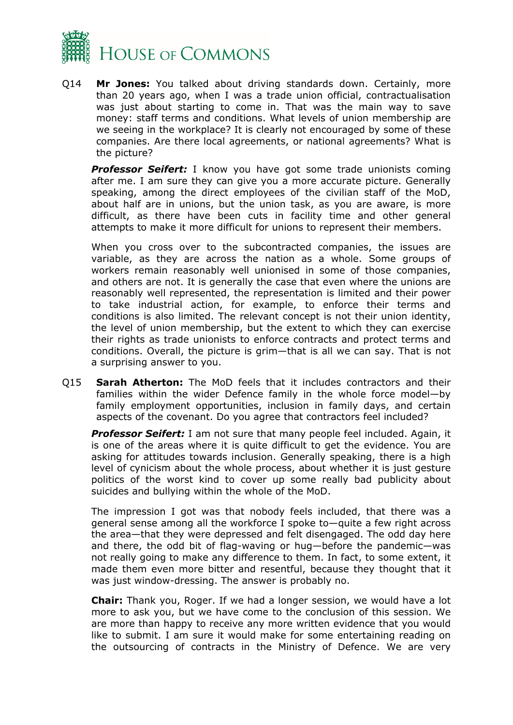

Q14 **Mr Jones:** You talked about driving standards down. Certainly, more than 20 years ago, when I was a trade union official, contractualisation was just about starting to come in. That was the main way to save money: staff terms and conditions. What levels of union membership are we seeing in the workplace? It is clearly not encouraged by some of these companies. Are there local agreements, or national agreements? What is the picture?

**Professor Seifert:** I know you have got some trade unionists coming after me. I am sure they can give you a more accurate picture. Generally speaking, among the direct employees of the civilian staff of the MoD, about half are in unions, but the union task, as you are aware, is more difficult, as there have been cuts in facility time and other general attempts to make it more difficult for unions to represent their members.

When you cross over to the subcontracted companies, the issues are variable, as they are across the nation as a whole. Some groups of workers remain reasonably well unionised in some of those companies, and others are not. It is generally the case that even where the unions are reasonably well represented, the representation is limited and their power to take industrial action, for example, to enforce their terms and conditions is also limited. The relevant concept is not their union identity, the level of union membership, but the extent to which they can exercise their rights as trade unionists to enforce contracts and protect terms and conditions. Overall, the picture is grim—that is all we can say. That is not a surprising answer to you.

Q15 **Sarah Atherton:** The MoD feels that it includes contractors and their families within the wider Defence family in the whole force model—by family employment opportunities, inclusion in family days, and certain aspects of the covenant. Do you agree that contractors feel included?

*Professor Seifert:* I am not sure that many people feel included. Again, it is one of the areas where it is quite difficult to get the evidence. You are asking for attitudes towards inclusion. Generally speaking, there is a high level of cynicism about the whole process, about whether it is just gesture politics of the worst kind to cover up some really bad publicity about suicides and bullying within the whole of the MoD.

The impression I got was that nobody feels included, that there was a general sense among all the workforce I spoke to—quite a few right across the area—that they were depressed and felt disengaged. The odd day here and there, the odd bit of flag-waving or hug—before the pandemic—was not really going to make any difference to them. In fact, to some extent, it made them even more bitter and resentful, because they thought that it was just window-dressing. The answer is probably no.

**Chair:** Thank you, Roger. If we had a longer session, we would have a lot more to ask you, but we have come to the conclusion of this session. We are more than happy to receive any more written evidence that you would like to submit. I am sure it would make for some entertaining reading on the outsourcing of contracts in the Ministry of Defence. We are very